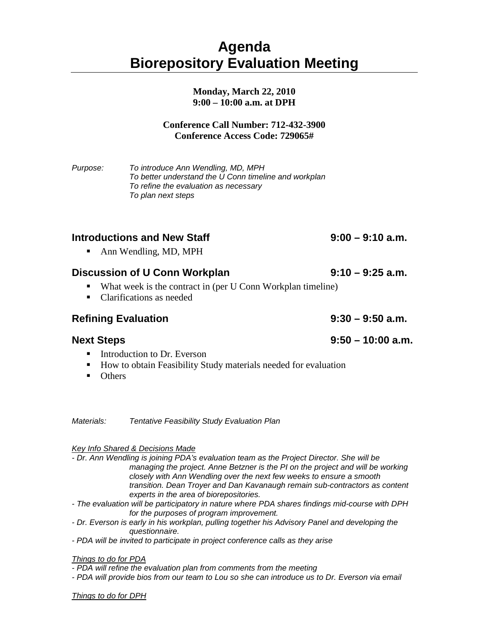# **Agenda Biorepository Evaluation Meeting**

### **Monday, March 22, 2010 9:00 – 10:00 a.m. at DPH**

### **Conference Call Number: 712-432-3900 Conference Access Code: 729065#**

*Purpose: To introduce Ann Wendling, MD, MPH To better understand the U Conn timeline and workplan To refine the evaluation as necessary To plan next steps*

# **Introductions and New Staff 9:00 – 9:10 a.m.**

• Ann Wendling, MD, MPH

### **Discussion of U Conn Workplan 9:10 – 9:25 a.m.**

- What week is the contract in (per U Conn Workplan timeline)
- Clarifications as needed

## **Refining Evaluation 9:30 – 9:50 a.m.**

- Introduction to Dr. Everson
- How to obtain Feasibility Study materials needed for evaluation
- Others

*Materials: Tentative Feasibility Study Evaluation Plan*

### *Key Info Shared & Decisions Made*

- *- Dr. Ann Wendling is joining PDA's evaluation team as the Project Director. She will be managing the project. Anne Betzner is the PI on the project and will be working closely with Ann Wendling over the next few weeks to ensure a smooth transition. Dean Troyer and Dan Kavanaugh remain sub-contractors as content experts in the area of biorepositories.*
- *- The evaluation will be participatory in nature where PDA shares findings mid-course with DPH for the purposes of program improvement.*
- *- Dr. Everson is early in his workplan, pulling together his Advisory Panel and developing the questionnaire.*
- *- PDA will be invited to participate in project conference calls as they arise*

### *Things to do for PDA*

*- PDA will refine the evaluation plan from comments from the meeting*

*- PDA will provide bios from our team to Lou so she can introduce us to Dr. Everson via email*

*Things to do for DPH*

## **Next Steps 9:50 – 10:00 a.m.**